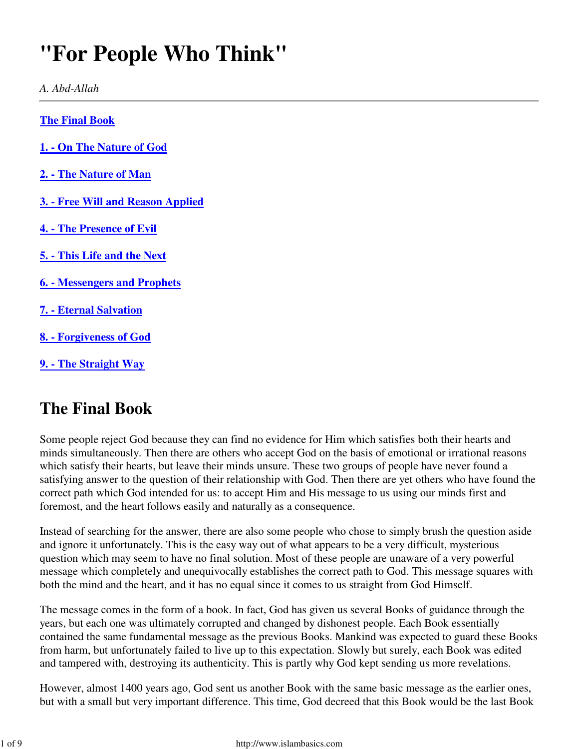# **"For People Who Think"**

*A. Abd-Allah*

**The Final Book**

- **1. On The Nature of God**
- **2. The Nature of Man**
- **3. Free Will and Reason Applied**
- **4. The Presence of Evil**
- **5. This Life and the Next**
- **6. Messengers and Prophets**
- **7. Eternal Salvation**
- **8. Forgiveness of God**
- **9. The Straight Way**

### **The Final Book**

Some people reject God because they can find no evidence for Him which satisfies both their hearts and minds simultaneously. Then there are others who accept God on the basis of emotional or irrational reasons which satisfy their hearts, but leave their minds unsure. These two groups of people have never found a satisfying answer to the question of their relationship with God. Then there are yet others who have found the correct path which God intended for us: to accept Him and His message to us using our minds first and foremost, and the heart follows easily and naturally as a consequence.

Instead of searching for the answer, there are also some people who chose to simply brush the question aside and ignore it unfortunately. This is the easy way out of what appears to be a very difficult, mysterious question which may seem to have no final solution. Most of these people are unaware of a very powerful message which completely and unequivocally establishes the correct path to God. This message squares with both the mind and the heart, and it has no equal since it comes to us straight from God Himself.

The message comes in the form of a book. In fact, God has given us several Books of guidance through the years, but each one was ultimately corrupted and changed by dishonest people. Each Book essentially contained the same fundamental message as the previous Books. Mankind was expected to guard these Books from harm, but unfortunately failed to live up to this expectation. Slowly but surely, each Book was edited and tampered with, destroying its authenticity. This is partly why God kept sending us more revelations.

However, almost 1400 years ago, God sent us another Book with the same basic message as the earlier ones, but with a small but very important difference. This time, God decreed that this Book would be the last Book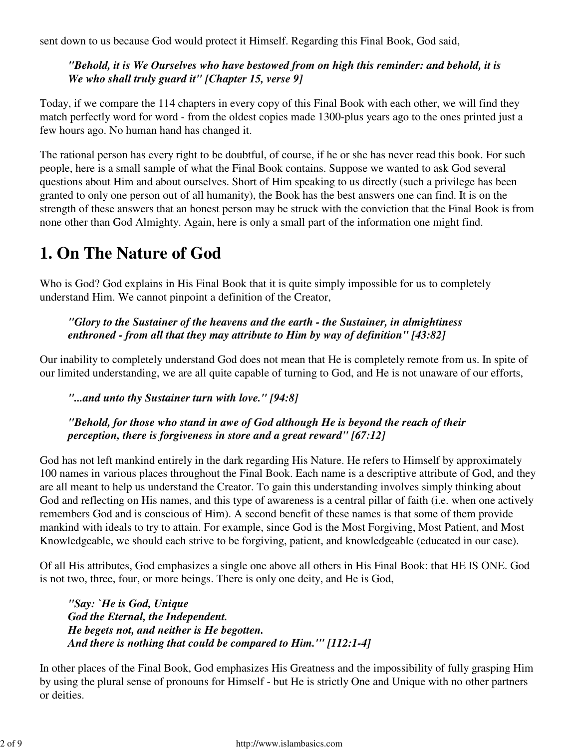sent down to us because God would protect it Himself. Regarding this Final Book, God said,

### *"Behold, it is We Ourselves who have bestowed from on high this reminder: and behold, it is We who shall truly guard it" [Chapter 15, verse 9]*

Today, if we compare the 114 chapters in every copy of this Final Book with each other, we will find they match perfectly word for word - from the oldest copies made 1300-plus years ago to the ones printed just a few hours ago. No human hand has changed it.

The rational person has every right to be doubtful, of course, if he or she has never read this book. For such people, here is a small sample of what the Final Book contains. Suppose we wanted to ask God several questions about Him and about ourselves. Short of Him speaking to us directly (such a privilege has been granted to only one person out of all humanity), the Book has the best answers one can find. It is on the strength of these answers that an honest person may be struck with the conviction that the Final Book is from none other than God Almighty. Again, here is only a small part of the information one might find.

# **1. On The Nature of God**

Who is God? God explains in His Final Book that it is quite simply impossible for us to completely understand Him. We cannot pinpoint a definition of the Creator,

### *"Glory to the Sustainer of the heavens and the earth - the Sustainer, in almightiness enthroned - from all that they may attribute to Him by way of definition" [43:82]*

Our inability to completely understand God does not mean that He is completely remote from us. In spite of our limited understanding, we are all quite capable of turning to God, and He is not unaware of our efforts,

### *"...and unto thy Sustainer turn with love." [94:8]*

#### *"Behold, for those who stand in awe of God although He is beyond the reach of their perception, there is forgiveness in store and a great reward" [67:12]*

God has not left mankind entirely in the dark regarding His Nature. He refers to Himself by approximately 100 names in various places throughout the Final Book. Each name is a descriptive attribute of God, and they are all meant to help us understand the Creator. To gain this understanding involves simply thinking about God and reflecting on His names, and this type of awareness is a central pillar of faith (i.e. when one actively remembers God and is conscious of Him). A second benefit of these names is that some of them provide mankind with ideals to try to attain. For example, since God is the Most Forgiving, Most Patient, and Most Knowledgeable, we should each strive to be forgiving, patient, and knowledgeable (educated in our case).

Of all His attributes, God emphasizes a single one above all others in His Final Book: that HE IS ONE. God is not two, three, four, or more beings. There is only one deity, and He is God,

*"Say: `He is God, Unique God the Eternal, the Independent. He begets not, and neither is He begotten. And there is nothing that could be compared to Him.'" [112:1-4]*

In other places of the Final Book, God emphasizes His Greatness and the impossibility of fully grasping Him by using the plural sense of pronouns for Himself - but He is strictly One and Unique with no other partners or deities.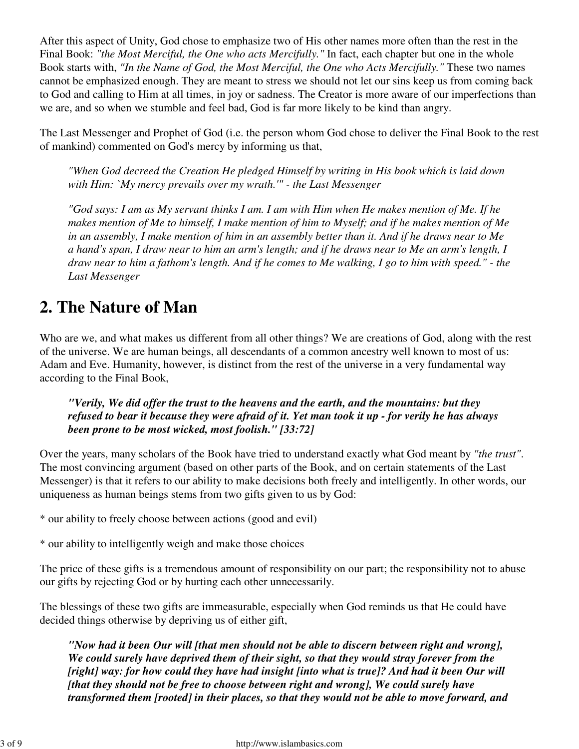After this aspect of Unity, God chose to emphasize two of His other names more often than the rest in the Final Book: *"the Most Merciful, the One who acts Mercifully."* In fact, each chapter but one in the whole Book starts with, *"In the Name of God, the Most Merciful, the One who Acts Mercifully."* These two names cannot be emphasized enough. They are meant to stress we should not let our sins keep us from coming back to God and calling to Him at all times, in joy or sadness. The Creator is more aware of our imperfections than we are, and so when we stumble and feel bad, God is far more likely to be kind than angry.

The Last Messenger and Prophet of God (i.e. the person whom God chose to deliver the Final Book to the rest of mankind) commented on God's mercy by informing us that,

*"When God decreed the Creation He pledged Himself by writing in His book which is laid down with Him: `My mercy prevails over my wrath.'" - the Last Messenger*

*"God says: I am as My servant thinks I am. I am with Him when He makes mention of Me. If he makes mention of Me to himself, I make mention of him to Myself; and if he makes mention of Me in an assembly, I make mention of him in an assembly better than it. And if he draws near to Me a hand's span, I draw near to him an arm's length; and if he draws near to Me an arm's length, I draw near to him a fathom's length. And if he comes to Me walking, I go to him with speed." - the Last Messenger*

# **2. The Nature of Man**

Who are we, and what makes us different from all other things? We are creations of God, along with the rest of the universe. We are human beings, all descendants of a common ancestry well known to most of us: Adam and Eve. Humanity, however, is distinct from the rest of the universe in a very fundamental way according to the Final Book,

*"Verily, We did offer the trust to the heavens and the earth, and the mountains: but they refused to bear it because they were afraid of it. Yet man took it up - for verily he has always been prone to be most wicked, most foolish." [33:72]*

Over the years, many scholars of the Book have tried to understand exactly what God meant by *"the trust"*. The most convincing argument (based on other parts of the Book, and on certain statements of the Last Messenger) is that it refers to our ability to make decisions both freely and intelligently. In other words, our uniqueness as human beings stems from two gifts given to us by God:

\* our ability to freely choose between actions (good and evil)

\* our ability to intelligently weigh and make those choices

The price of these gifts is a tremendous amount of responsibility on our part; the responsibility not to abuse our gifts by rejecting God or by hurting each other unnecessarily.

The blessings of these two gifts are immeasurable, especially when God reminds us that He could have decided things otherwise by depriving us of either gift,

*"Now had it been Our will [that men should not be able to discern between right and wrong], We could surely have deprived them of their sight, so that they would stray forever from the [right] way: for how could they have had insight [into what is true]? And had it been Our will [that they should not be free to choose between right and wrong], We could surely have transformed them [rooted] in their places, so that they would not be able to move forward, and*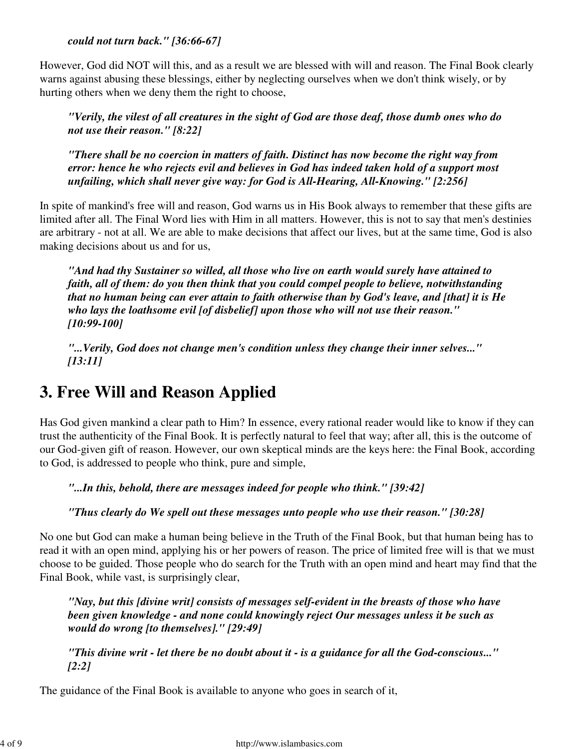*could not turn back." [36:66-67]*

However, God did NOT will this, and as a result we are blessed with will and reason. The Final Book clearly warns against abusing these blessings, either by neglecting ourselves when we don't think wisely, or by hurting others when we deny them the right to choose,

*"Verily, the vilest of all creatures in the sight of God are those deaf, those dumb ones who do not use their reason." [8:22]*

*"There shall be no coercion in matters of faith. Distinct has now become the right way from error: hence he who rejects evil and believes in God has indeed taken hold of a support most unfailing, which shall never give way: for God is All-Hearing, All-Knowing." [2:256]*

In spite of mankind's free will and reason, God warns us in His Book always to remember that these gifts are limited after all. The Final Word lies with Him in all matters. However, this is not to say that men's destinies are arbitrary - not at all. We are able to make decisions that affect our lives, but at the same time, God is also making decisions about us and for us,

*"And had thy Sustainer so willed, all those who live on earth would surely have attained to faith, all of them: do you then think that you could compel people to believe, notwithstanding that no human being can ever attain to faith otherwise than by God's leave, and [that] it is He who lays the loathsome evil [of disbelief] upon those who will not use their reason." [10:99-100]*

*"...Verily, God does not change men's condition unless they change their inner selves..." [13:11]*

# **3. Free Will and Reason Applied**

Has God given mankind a clear path to Him? In essence, every rational reader would like to know if they can trust the authenticity of the Final Book. It is perfectly natural to feel that way; after all, this is the outcome of our God-given gift of reason. However, our own skeptical minds are the keys here: the Final Book, according to God, is addressed to people who think, pure and simple,

*"...In this, behold, there are messages indeed for people who think." [39:42]*

*"Thus clearly do We spell out these messages unto people who use their reason." [30:28]*

No one but God can make a human being believe in the Truth of the Final Book, but that human being has to read it with an open mind, applying his or her powers of reason. The price of limited free will is that we must choose to be guided. Those people who do search for the Truth with an open mind and heart may find that the Final Book, while vast, is surprisingly clear,

*"Nay, but this [divine writ] consists of messages self-evident in the breasts of those who have been given knowledge - and none could knowingly reject Our messages unless it be such as would do wrong [to themselves]." [29:49]*

*"This divine writ - let there be no doubt about it - is a guidance for all the God-conscious..." [2:2]*

The guidance of the Final Book is available to anyone who goes in search of it,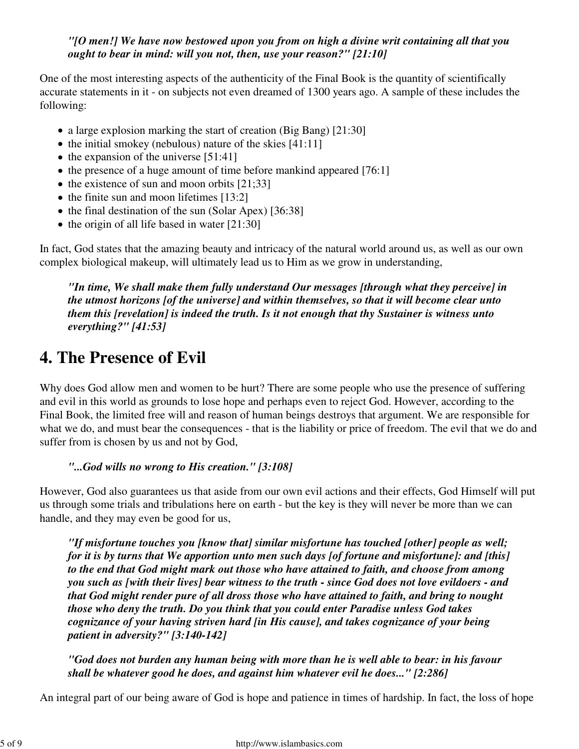#### *"[O men!] We have now bestowed upon you from on high a divine writ containing all that you ought to bear in mind: will you not, then, use your reason?" [21:10]*

One of the most interesting aspects of the authenticity of the Final Book is the quantity of scientifically accurate statements in it - on subjects not even dreamed of 1300 years ago. A sample of these includes the following:

- a large explosion marking the start of creation (Big Bang) [21:30]
- $\bullet$  the initial smokey (nebulous) nature of the skies [41:11]
- $\bullet$  the expansion of the universe [51:41]
- $\bullet$  the presence of a huge amount of time before mankind appeared [76:1]
- $\bullet$  the existence of sun and moon orbits [21;33]
- $\bullet$  the finite sun and moon lifetimes [13:2]
- the final destination of the sun (Solar Apex) [36:38]
- $\bullet$  the origin of all life based in water [21:30]

In fact, God states that the amazing beauty and intricacy of the natural world around us, as well as our own complex biological makeup, will ultimately lead us to Him as we grow in understanding,

*"In time, We shall make them fully understand Our messages [through what they perceive] in the utmost horizons [of the universe] and within themselves, so that it will become clear unto them this [revelation] is indeed the truth. Is it not enough that thy Sustainer is witness unto everything?" [41:53]*

### **4. The Presence of Evil**

Why does God allow men and women to be hurt? There are some people who use the presence of suffering and evil in this world as grounds to lose hope and perhaps even to reject God. However, according to the Final Book, the limited free will and reason of human beings destroys that argument. We are responsible for what we do, and must bear the consequences - that is the liability or price of freedom. The evil that we do and suffer from is chosen by us and not by God,

### *"...God wills no wrong to His creation." [3:108]*

However, God also guarantees us that aside from our own evil actions and their effects, God Himself will put us through some trials and tribulations here on earth - but the key is they will never be more than we can handle, and they may even be good for us,

*"If misfortune touches you [know that] similar misfortune has touched [other] people as well; for it is by turns that We apportion unto men such days [of fortune and misfortune]: and [this] to the end that God might mark out those who have attained to faith, and choose from among you such as [with their lives] bear witness to the truth - since God does not love evildoers - and that God might render pure of all dross those who have attained to faith, and bring to nought those who deny the truth. Do you think that you could enter Paradise unless God takes cognizance of your having striven hard [in His cause], and takes cognizance of your being patient in adversity?" [3:140-142]*

*"God does not burden any human being with more than he is well able to bear: in his favour shall be whatever good he does, and against him whatever evil he does..." [2:286]*

An integral part of our being aware of God is hope and patience in times of hardship. In fact, the loss of hope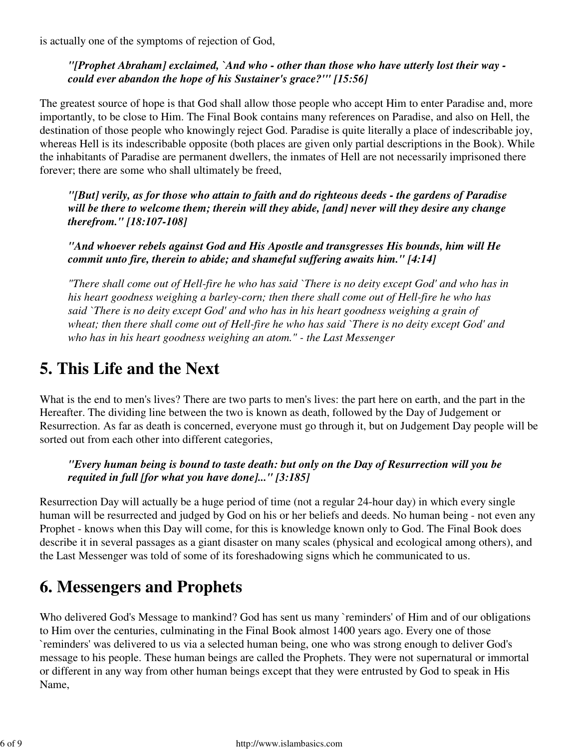is actually one of the symptoms of rejection of God,

### *"[Prophet Abraham] exclaimed, `And who - other than those who have utterly lost their way could ever abandon the hope of his Sustainer's grace?'" [15:56]*

The greatest source of hope is that God shall allow those people who accept Him to enter Paradise and, more importantly, to be close to Him. The Final Book contains many references on Paradise, and also on Hell, the destination of those people who knowingly reject God. Paradise is quite literally a place of indescribable joy, whereas Hell is its indescribable opposite (both places are given only partial descriptions in the Book). While the inhabitants of Paradise are permanent dwellers, the inmates of Hell are not necessarily imprisoned there forever; there are some who shall ultimately be freed,

*"[But] verily, as for those who attain to faith and do righteous deeds - the gardens of Paradise will be there to welcome them; therein will they abide, [and] never will they desire any change therefrom." [18:107-108]*

*"And whoever rebels against God and His Apostle and transgresses His bounds, him will He commit unto fire, therein to abide; and shameful suffering awaits him." [4:14]*

*"There shall come out of Hell-fire he who has said `There is no deity except God' and who has in his heart goodness weighing a barley-corn; then there shall come out of Hell-fire he who has said `There is no deity except God' and who has in his heart goodness weighing a grain of wheat; then there shall come out of Hell-fire he who has said `There is no deity except God' and who has in his heart goodness weighing an atom." - the Last Messenger*

# **5. This Life and the Next**

What is the end to men's lives? There are two parts to men's lives: the part here on earth, and the part in the Hereafter. The dividing line between the two is known as death, followed by the Day of Judgement or Resurrection. As far as death is concerned, everyone must go through it, but on Judgement Day people will be sorted out from each other into different categories,

### *"Every human being is bound to taste death: but only on the Day of Resurrection will you be requited in full [for what you have done]..." [3:185]*

Resurrection Day will actually be a huge period of time (not a regular 24-hour day) in which every single human will be resurrected and judged by God on his or her beliefs and deeds. No human being - not even any Prophet - knows when this Day will come, for this is knowledge known only to God. The Final Book does describe it in several passages as a giant disaster on many scales (physical and ecological among others), and the Last Messenger was told of some of its foreshadowing signs which he communicated to us.

# **6. Messengers and Prophets**

Who delivered God's Message to mankind? God has sent us many `reminders' of Him and of our obligations to Him over the centuries, culminating in the Final Book almost 1400 years ago. Every one of those `reminders' was delivered to us via a selected human being, one who was strong enough to deliver God's message to his people. These human beings are called the Prophets. They were not supernatural or immortal or different in any way from other human beings except that they were entrusted by God to speak in His Name,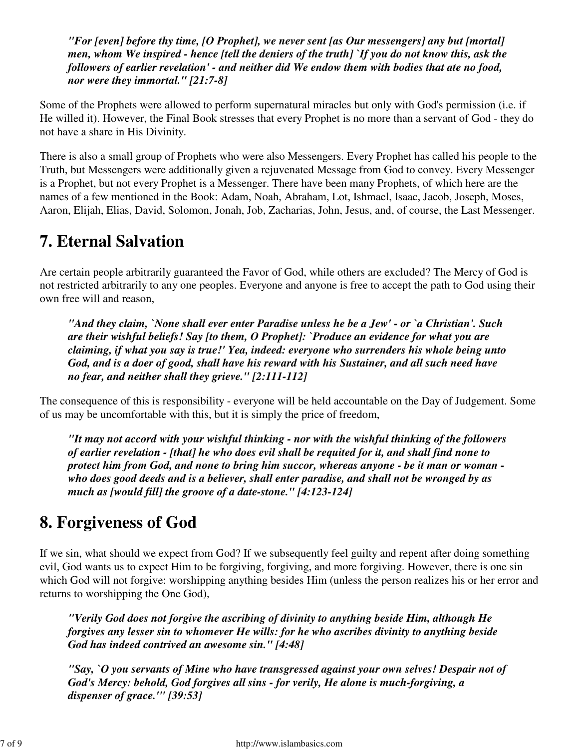*"For [even] before thy time, [O Prophet], we never sent [as Our messengers] any but [mortal] men, whom We inspired - hence [tell the deniers of the truth] `If you do not know this, ask the followers of earlier revelation' - and neither did We endow them with bodies that ate no food, nor were they immortal." [21:7-8]*

Some of the Prophets were allowed to perform supernatural miracles but only with God's permission (i.e. if He willed it). However, the Final Book stresses that every Prophet is no more than a servant of God - they do not have a share in His Divinity.

There is also a small group of Prophets who were also Messengers. Every Prophet has called his people to the Truth, but Messengers were additionally given a rejuvenated Message from God to convey. Every Messenger is a Prophet, but not every Prophet is a Messenger. There have been many Prophets, of which here are the names of a few mentioned in the Book: Adam, Noah, Abraham, Lot, Ishmael, Isaac, Jacob, Joseph, Moses, Aaron, Elijah, Elias, David, Solomon, Jonah, Job, Zacharias, John, Jesus, and, of course, the Last Messenger.

### **7. Eternal Salvation**

Are certain people arbitrarily guaranteed the Favor of God, while others are excluded? The Mercy of God is not restricted arbitrarily to any one peoples. Everyone and anyone is free to accept the path to God using their own free will and reason,

*"And they claim, `None shall ever enter Paradise unless he be a Jew' - or `a Christian'. Such are their wishful beliefs! Say [to them, O Prophet]: `Produce an evidence for what you are claiming, if what you say is true!' Yea, indeed: everyone who surrenders his whole being unto God, and is a doer of good, shall have his reward with his Sustainer, and all such need have no fear, and neither shall they grieve." [2:111-112]*

The consequence of this is responsibility - everyone will be held accountable on the Day of Judgement. Some of us may be uncomfortable with this, but it is simply the price of freedom,

*"It may not accord with your wishful thinking - nor with the wishful thinking of the followers of earlier revelation - [that] he who does evil shall be requited for it, and shall find none to protect him from God, and none to bring him succor, whereas anyone - be it man or woman who does good deeds and is a believer, shall enter paradise, and shall not be wronged by as much as [would fill] the groove of a date-stone." [4:123-124]*

# **8. Forgiveness of God**

If we sin, what should we expect from God? If we subsequently feel guilty and repent after doing something evil, God wants us to expect Him to be forgiving, forgiving, and more forgiving. However, there is one sin which God will not forgive: worshipping anything besides Him (unless the person realizes his or her error and returns to worshipping the One God),

*"Verily God does not forgive the ascribing of divinity to anything beside Him, although He forgives any lesser sin to whomever He wills: for he who ascribes divinity to anything beside God has indeed contrived an awesome sin." [4:48]*

*"Say, `O you servants of Mine who have transgressed against your own selves! Despair not of God's Mercy: behold, God forgives all sins - for verily, He alone is much-forgiving, a dispenser of grace.'" [39:53]*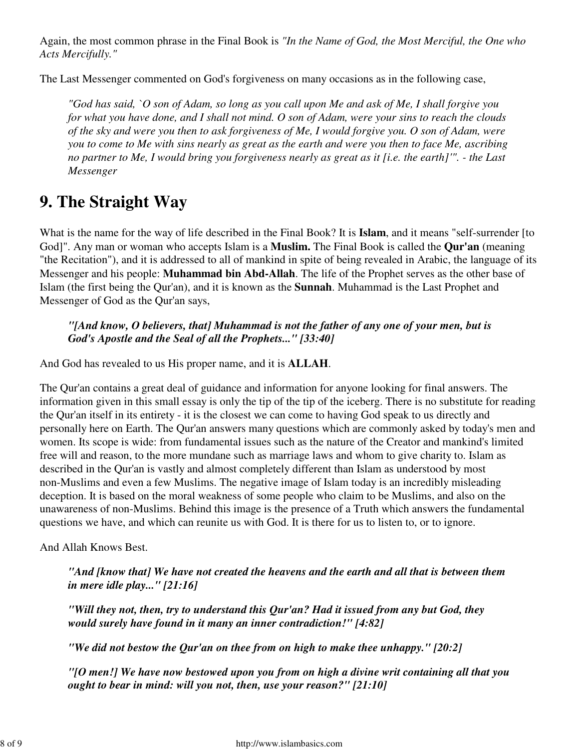Again, the most common phrase in the Final Book is *"In the Name of God, the Most Merciful, the One who Acts Mercifully."*

The Last Messenger commented on God's forgiveness on many occasions as in the following case,

*"God has said, `O son of Adam, so long as you call upon Me and ask of Me, I shall forgive you for what you have done, and I shall not mind. O son of Adam, were your sins to reach the clouds of the sky and were you then to ask forgiveness of Me, I would forgive you. O son of Adam, were you to come to Me with sins nearly as great as the earth and were you then to face Me, ascribing no partner to Me, I would bring you forgiveness nearly as great as it [i.e. the earth]'". - the Last Messenger*

# **9. The Straight Way**

What is the name for the way of life described in the Final Book? It is **Islam**, and it means "self-surrender [to God]". Any man or woman who accepts Islam is a **Muslim.** The Final Book is called the **Qur'an** (meaning "the Recitation"), and it is addressed to all of mankind in spite of being revealed in Arabic, the language of its Messenger and his people: **Muhammad bin Abd-Allah**. The life of the Prophet serves as the other base of Islam (the first being the Qur'an), and it is known as the **Sunnah**. Muhammad is the Last Prophet and Messenger of God as the Qur'an says,

*"[And know, O believers, that] Muhammad is not the father of any one of your men, but is God's Apostle and the Seal of all the Prophets..." [33:40]*

And God has revealed to us His proper name, and it is **ALLAH**.

The Qur'an contains a great deal of guidance and information for anyone looking for final answers. The information given in this small essay is only the tip of the tip of the iceberg. There is no substitute for reading the Qur'an itself in its entirety - it is the closest we can come to having God speak to us directly and personally here on Earth. The Qur'an answers many questions which are commonly asked by today's men and women. Its scope is wide: from fundamental issues such as the nature of the Creator and mankind's limited free will and reason, to the more mundane such as marriage laws and whom to give charity to. Islam as described in the Qur'an is vastly and almost completely different than Islam as understood by most non-Muslims and even a few Muslims. The negative image of Islam today is an incredibly misleading deception. It is based on the moral weakness of some people who claim to be Muslims, and also on the unawareness of non-Muslims. Behind this image is the presence of a Truth which answers the fundamental questions we have, and which can reunite us with God. It is there for us to listen to, or to ignore.

And Allah Knows Best.

*"And [know that] We have not created the heavens and the earth and all that is between them in mere idle play..." [21:16]*

*"Will they not, then, try to understand this Qur'an? Had it issued from any but God, they would surely have found in it many an inner contradiction!" [4:82]*

*"We did not bestow the Qur'an on thee from on high to make thee unhappy." [20:2]*

*"[O men!] We have now bestowed upon you from on high a divine writ containing all that you ought to bear in mind: will you not, then, use your reason?" [21:10]*